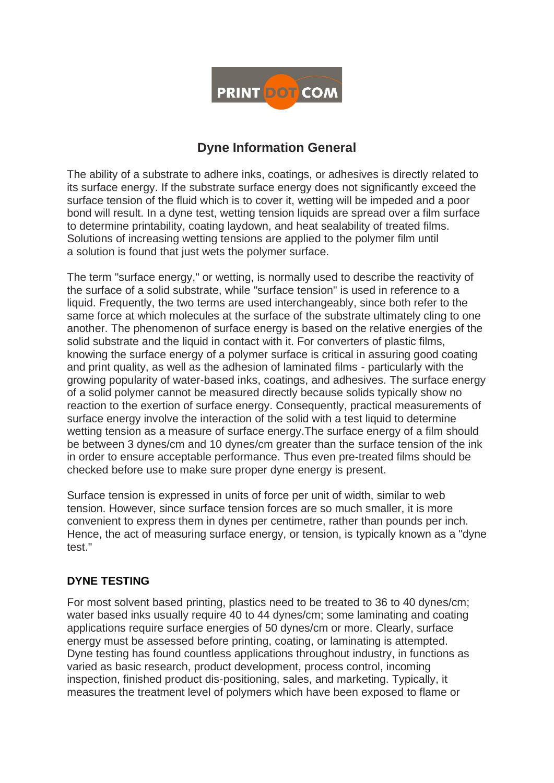

# **Dyne Information General**

The ability of a substrate to adhere inks, coatings, or adhesives is directly related to its surface energy. If the substrate surface energy does not significantly exceed the surface tension of the fluid which is to cover it, wetting will be impeded and a poor bond will result. In a dyne test, wetting tension liquids are spread over a film surface to determine printability, coating laydown, and heat sealability of treated films. Solutions of increasing wetting tensions are applied to the polymer film until a solution is found that just wets the polymer surface.

The term "surface energy," or wetting, is normally used to describe the reactivity of the surface of a solid substrate, while "surface tension" is used in reference to a liquid. Frequently, the two terms are used interchangeably, since both refer to the same force at which molecules at the surface of the substrate ultimately cling to one another. The phenomenon of surface energy is based on the relative energies of the solid substrate and the liquid in contact with it. For converters of plastic films, knowing the surface energy of a polymer surface is critical in assuring good coating and print quality, as well as the adhesion of laminated films - particularly with the growing popularity of water-based inks, coatings, and adhesives. The surface energy of a solid polymer cannot be measured directly because solids typically show no reaction to the exertion of surface energy. Consequently, practical measurements of surface energy involve the interaction of the solid with a test liquid to determine wetting tension as a measure of surface energy.The surface energy of a film should be between 3 dynes/cm and 10 dynes/cm greater than the surface tension of the ink in order to ensure acceptable performance. Thus even pre-treated films should be checked before use to make sure proper dyne energy is present.

Surface tension is expressed in units of force per unit of width, similar to web tension. However, since surface tension forces are so much smaller, it is more convenient to express them in dynes per centimetre, rather than pounds per inch. Hence, the act of measuring surface energy, or tension, is typically known as a "dyne test."

# **DYNE TESTING**

For most solvent based printing, plastics need to be treated to 36 to 40 dynes/cm; water based inks usually require 40 to 44 dynes/cm; some laminating and coating applications require surface energies of 50 dynes/cm or more. Clearly, surface energy must be assessed before printing, coating, or laminating is attempted. Dyne testing has found countless applications throughout industry, in functions as varied as basic research, product development, process control, incoming inspection, finished product dis-positioning, sales, and marketing. Typically, it measures the treatment level of polymers which have been exposed to flame or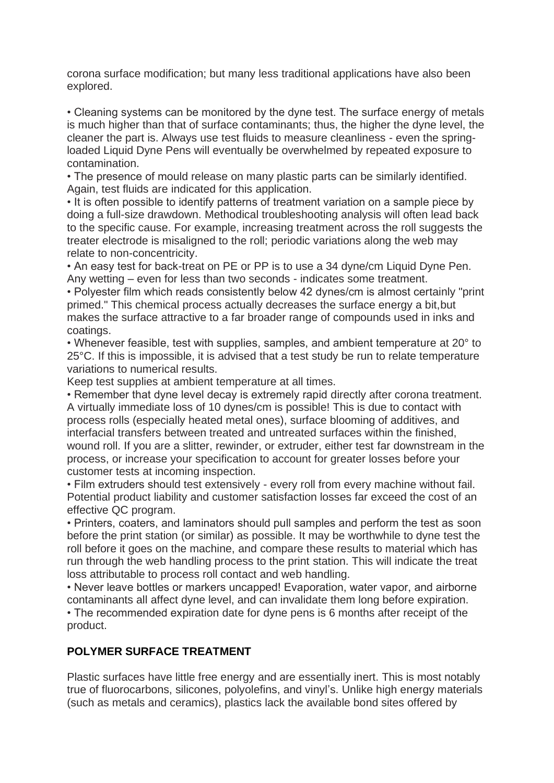corona surface modification; but many less traditional applications have also been explored.

• Cleaning systems can be monitored by the dyne test. The surface energy of metals is much higher than that of surface contaminants; thus, the higher the dyne level, the cleaner the part is. Always use test fluids to measure cleanliness - even the springloaded Liquid Dyne Pens will eventually be overwhelmed by repeated exposure to contamination.

• The presence of mould release on many plastic parts can be similarly identified. Again, test fluids are indicated for this application.

• It is often possible to identify patterns of treatment variation on a sample piece by doing a full-size drawdown. Methodical troubleshooting analysis will often lead back to the specific cause. For example, increasing treatment across the roll suggests the treater electrode is misaligned to the roll; periodic variations along the web may relate to non-concentricity.

• An easy test for back-treat on PE or PP is to use a 34 dyne/cm Liquid Dyne Pen. Any wetting – even for less than two seconds - indicates some treatment.

• Polyester film which reads consistently below 42 dynes/cm is almost certainly "print primed." This chemical process actually decreases the surface energy a bit,but makes the surface attractive to a far broader range of compounds used in inks and coatings.

• Whenever feasible, test with supplies, samples, and ambient temperature at 20° to 25°C. If this is impossible, it is advised that a test study be run to relate temperature variations to numerical results.

Keep test supplies at ambient temperature at all times.

• Remember that dyne level decay is extremely rapid directly after corona treatment. A virtually immediate loss of 10 dynes/cm is possible! This is due to contact with process rolls (especially heated metal ones), surface blooming of additives, and interfacial transfers between treated and untreated surfaces within the finished, wound roll. If you are a slitter, rewinder, or extruder, either test far downstream in the process, or increase your specification to account for greater losses before your customer tests at incoming inspection.

• Film extruders should test extensively - every roll from every machine without fail. Potential product liability and customer satisfaction losses far exceed the cost of an effective QC program.

• Printers, coaters, and laminators should pull samples and perform the test as soon before the print station (or similar) as possible. It may be worthwhile to dyne test the roll before it goes on the machine, and compare these results to material which has run through the web handling process to the print station. This will indicate the treat loss attributable to process roll contact and web handling.

• Never leave bottles or markers uncapped! Evaporation, water vapor, and airborne contaminants all affect dyne level, and can invalidate them long before expiration. • The recommended expiration date for dyne pens is 6 months after receipt of the product.

# **POLYMER SURFACE TREATMENT**

Plastic surfaces have little free energy and are essentially inert. This is most notably true of fluorocarbons, silicones, polyolefins, and vinyl's. Unlike high energy materials (such as metals and ceramics), plastics lack the available bond sites offered by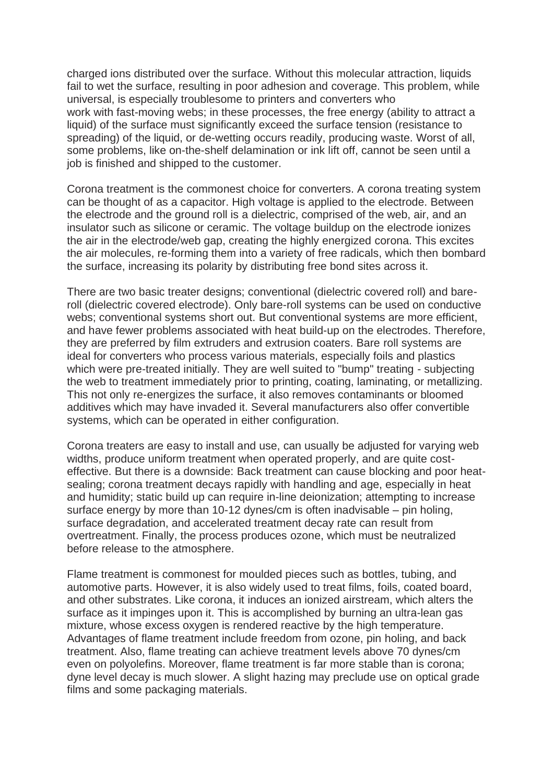charged ions distributed over the surface. Without this molecular attraction, liquids fail to wet the surface, resulting in poor adhesion and coverage. This problem, while universal, is especially troublesome to printers and converters who work with fast-moving webs; in these processes, the free energy (ability to attract a liquid) of the surface must significantly exceed the surface tension (resistance to spreading) of the liquid, or de-wetting occurs readily, producing waste. Worst of all, some problems, like on-the-shelf delamination or ink lift off, cannot be seen until a job is finished and shipped to the customer.

Corona treatment is the commonest choice for converters. A corona treating system can be thought of as a capacitor. High voltage is applied to the electrode. Between the electrode and the ground roll is a dielectric, comprised of the web, air, and an insulator such as silicone or ceramic. The voltage buildup on the electrode ionizes the air in the electrode/web gap, creating the highly energized corona. This excites the air molecules, re-forming them into a variety of free radicals, which then bombard the surface, increasing its polarity by distributing free bond sites across it.

There are two basic treater designs; conventional (dielectric covered roll) and bareroll (dielectric covered electrode). Only bare-roll systems can be used on conductive webs; conventional systems short out. But conventional systems are more efficient, and have fewer problems associated with heat build-up on the electrodes. Therefore, they are preferred by film extruders and extrusion coaters. Bare roll systems are ideal for converters who process various materials, especially foils and plastics which were pre-treated initially. They are well suited to "bump" treating - subjecting the web to treatment immediately prior to printing, coating, laminating, or metallizing. This not only re-energizes the surface, it also removes contaminants or bloomed additives which may have invaded it. Several manufacturers also offer convertible systems, which can be operated in either configuration.

Corona treaters are easy to install and use, can usually be adjusted for varying web widths, produce uniform treatment when operated properly, and are quite costeffective. But there is a downside: Back treatment can cause blocking and poor heatsealing; corona treatment decays rapidly with handling and age, especially in heat and humidity; static build up can require in-line deionization; attempting to increase surface energy by more than 10-12 dynes/cm is often inadvisable – pin holing, surface degradation, and accelerated treatment decay rate can result from overtreatment. Finally, the process produces ozone, which must be neutralized before release to the atmosphere.

Flame treatment is commonest for moulded pieces such as bottles, tubing, and automotive parts. However, it is also widely used to treat films, foils, coated board, and other substrates. Like corona, it induces an ionized airstream, which alters the surface as it impinges upon it. This is accomplished by burning an ultra-lean gas mixture, whose excess oxygen is rendered reactive by the high temperature. Advantages of flame treatment include freedom from ozone, pin holing, and back treatment. Also, flame treating can achieve treatment levels above 70 dynes/cm even on polyolefins. Moreover, flame treatment is far more stable than is corona; dyne level decay is much slower. A slight hazing may preclude use on optical grade films and some packaging materials.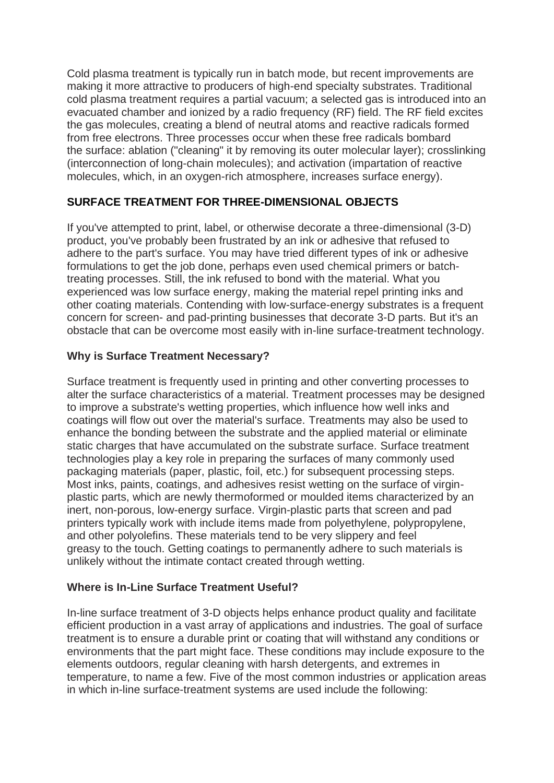Cold plasma treatment is typically run in batch mode, but recent improvements are making it more attractive to producers of high-end specialty substrates. Traditional cold plasma treatment requires a partial vacuum; a selected gas is introduced into an evacuated chamber and ionized by a radio frequency (RF) field. The RF field excites the gas molecules, creating a blend of neutral atoms and reactive radicals formed from free electrons. Three processes occur when these free radicals bombard the surface: ablation ("cleaning" it by removing its outer molecular layer); crosslinking (interconnection of long-chain molecules); and activation (impartation of reactive molecules, which, in an oxygen-rich atmosphere, increases surface energy).

# **SURFACE TREATMENT FOR THREE-DIMENSIONAL OBJECTS**

If you've attempted to print, label, or otherwise decorate a three-dimensional (3-D) product, you've probably been frustrated by an ink or adhesive that refused to adhere to the part's surface. You may have tried different types of ink or adhesive formulations to get the job done, perhaps even used chemical primers or batchtreating processes. Still, the ink refused to bond with the material. What you experienced was low surface energy, making the material repel printing inks and other coating materials. Contending with low-surface-energy substrates is a frequent concern for screen- and pad-printing businesses that decorate 3-D parts. But it's an obstacle that can be overcome most easily with in-line surface-treatment technology.

# **Why is Surface Treatment Necessary?**

Surface treatment is frequently used in printing and other converting processes to alter the surface characteristics of a material. Treatment processes may be designed to improve a substrate's wetting properties, which influence how well inks and coatings will flow out over the material's surface. Treatments may also be used to enhance the bonding between the substrate and the applied material or eliminate static charges that have accumulated on the substrate surface. Surface treatment technologies play a key role in preparing the surfaces of many commonly used packaging materials (paper, plastic, foil, etc.) for subsequent processing steps. Most inks, paints, coatings, and adhesives resist wetting on the surface of virginplastic parts, which are newly thermoformed or moulded items characterized by an inert, non-porous, low-energy surface. Virgin-plastic parts that screen and pad printers typically work with include items made from polyethylene, polypropylene, and other polyolefins. These materials tend to be very slippery and feel greasy to the touch. Getting coatings to permanently adhere to such materials is unlikely without the intimate contact created through wetting.

#### **Where is In-Line Surface Treatment Useful?**

In-line surface treatment of 3-D objects helps enhance product quality and facilitate efficient production in a vast array of applications and industries. The goal of surface treatment is to ensure a durable print or coating that will withstand any conditions or environments that the part might face. These conditions may include exposure to the elements outdoors, regular cleaning with harsh detergents, and extremes in temperature, to name a few. Five of the most common industries or application areas in which in-line surface-treatment systems are used include the following: